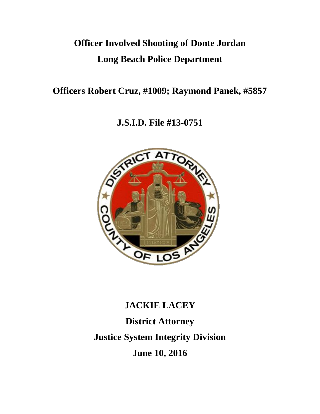## **Officer Involved Shooting of Donte Jordan Long Beach Police Department**

**Officers Robert Cruz, #1009; Raymond Panek, #5857**

**J.S.I.D. File #13-0751**



# **JACKIE LACEY District Attorney Justice System Integrity Division June 10, 2016**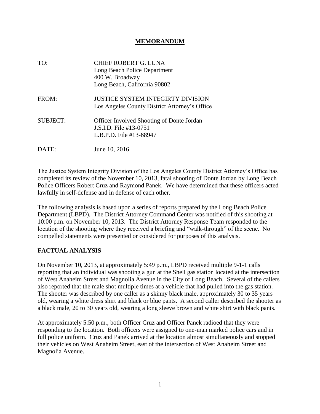#### **MEMORANDUM**

| TO:             | <b>CHIEF ROBERT G. LUNA</b><br>Long Beach Police Department<br>400 W. Broadway<br>Long Beach, California 90802 |
|-----------------|----------------------------------------------------------------------------------------------------------------|
| FROM:           | JUSTICE SYSTEM INTEGIRTY DIVISION<br>Los Angeles County District Attorney's Office                             |
| <b>SUBJECT:</b> | <b>Officer Involved Shooting of Donte Jordan</b><br><b>J.S.I.D.</b> File #13-0751<br>L.B.P.D. File #13-68947   |
| DATE:           | June 10, 2016                                                                                                  |

The Justice System Integrity Division of the Los Angeles County District Attorney's Office has completed its review of the November 10, 2013, fatal shooting of Donte Jordan by Long Beach Police Officers Robert Cruz and Raymond Panek. We have determined that these officers acted lawfully in self-defense and in defense of each other.

The following analysis is based upon a series of reports prepared by the Long Beach Police Department (LBPD). The District Attorney Command Center was notified of this shooting at 10:00 p.m. on November 10, 2013. The District Attorney Response Team responded to the location of the shooting where they received a briefing and "walk-through" of the scene. No compelled statements were presented or considered for purposes of this analysis.

#### **FACTUAL ANALYSIS**

On November 10, 2013, at approximately 5:49 p.m., LBPD received multiple 9-1-1 calls reporting that an individual was shooting a gun at the Shell gas station located at the intersection of West Anaheim Street and Magnolia Avenue in the City of Long Beach. Several of the callers also reported that the male shot multiple times at a vehicle that had pulled into the gas station. The shooter was described by one caller as a skinny black male, approximately 30 to 35 years old, wearing a white dress shirt and black or blue pants. A second caller described the shooter as a black male, 20 to 30 years old, wearing a long sleeve brown and white shirt with black pants.

At approximately 5:50 p.m., both Officer Cruz and Officer Panek radioed that they were responding to the location. Both officers were assigned to one-man marked police cars and in full police uniform. Cruz and Panek arrived at the location almost simultaneously and stopped their vehicles on West Anaheim Street, east of the intersection of West Anaheim Street and Magnolia Avenue.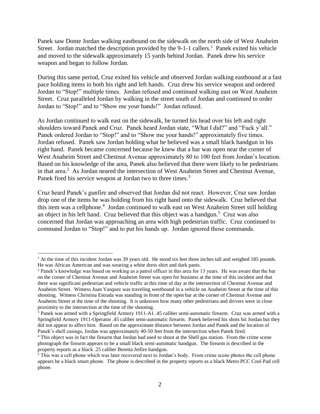Panek saw Donte Jordan walking eastbound on the sidewalk on the north side of West Anaheim Street. Jordan matched the description provided by the  $9-1-1$  callers.<sup>1</sup> Panek exited his vehicle and moved to the sidewalk approximately 15 yards behind Jordan. Panek drew his service weapon and began to follow Jordan.

During this same period, Cruz exited his vehicle and observed Jordan walking eastbound at a fast pace holding items in both his right and left hands. Cruz drew his service weapon and ordered Jordan to "Stop!" multiple times. Jordan refused and continued walking east on West Anaheim Street. Cruz paralleled Jordan by walking in the street south of Jordan and continued to order Jordan to "Stop!" and to "Show me your hands!" Jordan refused.

As Jordan continued to walk east on the sidewalk, he turned his head over his left and right shoulders toward Panek and Cruz. Panek heard Jordan state, "What I did?" and "Fuck y'all." Panek ordered Jordan to "Stop!" and to "Show me your hands!" approximately five times. Jordan refused. Panek saw Jordan holding what he believed was a small black handgun in his right hand. Panek became concerned because he knew that a bar was open near the corner of West Anaheim Street and Chestnut Avenue approximately 80 to 100 feet from Jordan's location. Based on his knowledge of the area, Panek also believed that there were likely to be pedestrians in that area.<sup>2</sup> As Jordan neared the intersection of West Anaheim Street and Chestnut Avenue, Panek fired his service weapon at Jordan two to three times.<sup>3</sup>

Cruz heard Panek's gunfire and observed that Jordan did not react. However, Cruz saw Jordan drop one of the items he was holding from his right hand onto the sidewalk. Cruz believed that this item was a cellphone.<sup>4</sup> Jordan continued to walk east on West Anaheim Street still holding an object in his left hand. Cruz believed that this object was a handgun.<sup>5</sup> Cruz was also concerned that Jordan was approaching an area with high pedestrian traffic. Cruz continued to command Jordan to "Stop!" and to put his hands up. Jordan ignored those commands.

 $\overline{a}$ 

<sup>&</sup>lt;sup>1</sup> At the time of this incident Jordan was 39 years old. He stood six feet three inches tall and weighed 185 pounds. He was African American and was wearing a white dress shirt and dark pants.

<sup>&</sup>lt;sup>2</sup> Panek's knowledge was based on working as a patrol officer in this area for 13 years. He was aware that the bar on the corner of Chestnut Avenue and Anaheim Street was open for business at the time of this incident and that there was significant pedestrian and vehicle traffic at this time of day at the intersection of Chestnut Avenue and Anaheim Street. Witness Juan Vasquez was traveling westbound in a vehicle on Anaheim Street at the time of this shooting. Witness Christina Estrada was standing in front of the open bar at the corner of Chestnut Avenue and Anaheim Street at the time of the shooting. It is unknown how many other pedestrians and drivers were in close proximity to the intersection at the time of the shooting.

<sup>3</sup> Panek was armed with a Springfield Armory 1911-A1 .45 caliber semi-automatic firearm. Cruz was armed with a Springfield Armory 1911-Operator .45 caliber semi-automatic firearm. Panek believed his shots hit Jordan but they did not appear to affect him. Based on the approximate distance between Jordan and Panek and the location of Panek's shell casings, Jordan was approximately 40-50 feet from the intersection when Panek fired.

<sup>4</sup> This object was in fact the firearm that Jordan had used to shoot at the Shell gas station. From the crime scene photograph the firearm appears to be a small black semi-automatic handgun. The firearm is described in the property reports as a black .25 caliber Beretta Jetfire handgun.

 $\frac{5}{5}$  This was a cell phone which was later recovered next to Jordan's body. From crime scene photos the cell phone appears be a black smart phone. The phone is described in the property reports as a black Metro PCC Cool Pad cell phone.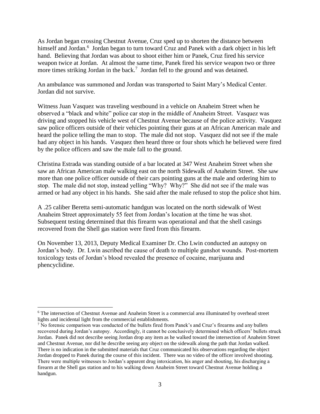As Jordan began crossing Chestnut Avenue, Cruz sped up to shorten the distance between himself and Jordan.<sup>6</sup> Jordan began to turn toward Cruz and Panek with a dark object in his left hand. Believing that Jordan was about to shoot either him or Panek, Cruz fired his service weapon twice at Jordan. At almost the same time, Panek fired his service weapon two or three more times striking Jordan in the back.<sup>7</sup> Jordan fell to the ground and was detained.

An ambulance was summoned and Jordan was transported to Saint Mary's Medical Center. Jordan did not survive.

Witness Juan Vasquez was traveling westbound in a vehicle on Anaheim Street when he observed a "black and white" police car stop in the middle of Anaheim Street. Vasquez was driving and stopped his vehicle west of Chestnut Avenue because of the police activity. Vasquez saw police officers outside of their vehicles pointing their guns at an African American male and heard the police telling the man to stop. The male did not stop. Vasquez did not see if the male had any object in his hands. Vasquez then heard three or four shots which he believed were fired by the police officers and saw the male fall to the ground.

Christina Estrada was standing outside of a bar located at 347 West Anaheim Street when she saw an African American male walking east on the north Sidewalk of Anaheim Street. She saw more than one police officer outside of their cars pointing guns at the male and ordering him to stop. The male did not stop, instead yelling "Why? Why?" She did not see if the male was armed or had any object in his hands. She said after the male refused to stop the police shot him.

A .25 caliber Beretta semi-automatic handgun was located on the north sidewalk of West Anaheim Street approximately 55 feet from Jordan's location at the time he was shot. Subsequent testing determined that this firearm was operational and that the shell casings recovered from the Shell gas station were fired from this firearm.

On November 13, 2013, Deputy Medical Examiner Dr. Cho Lwin conducted an autopsy on Jordan's body. Dr. Lwin ascribed the cause of death to multiple gunshot wounds. Post-mortem toxicology tests of Jordan's blood revealed the presence of cocaine, marijuana and phencyclidine.

 $\overline{a}$ 

<sup>6</sup> The intersection of Chestnut Avenue and Anaheim Street is a commercial area illuminated by overhead street lights and incidental light from the commercial establishments.

<sup>&</sup>lt;sup>7</sup> No forensic comparison was conducted of the bullets fired from Panek's and Cruz's firearms and any bullets recovered during Jordan's autopsy. Accordingly, it cannot be conclusively determined which officers' bullets struck Jordan. Panek did not describe seeing Jordan drop any item as he walked toward the intersection of Anaheim Street and Chestnut Avenue, nor did he describe seeing any object on the sidewalk along the path that Jordan walked. There is no indication in the submitted materials that Cruz communicated his observations regarding the object Jordan dropped to Panek during the course of this incident. There was no video of the officer involved shooting. There were multiple witnesses to Jordan's apparent drug intoxication, his anger and shouting, his discharging a firearm at the Shell gas station and to his walking down Anaheim Street toward Chestnut Avenue holding a handgun.